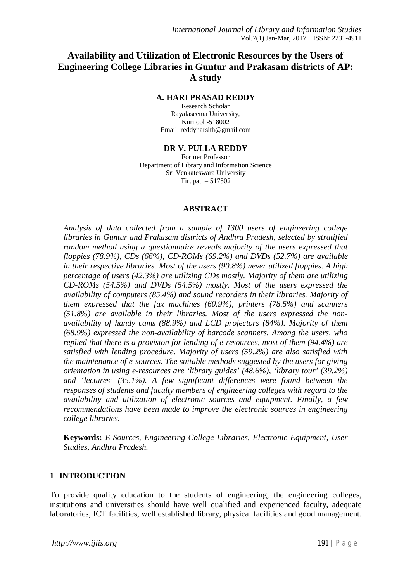# **Availability and Utilization of Electronic Resources by the Users of Engineering College Libraries in Guntur and Prakasam districts of AP: A study**

#### **A. HARI PRASAD REDDY**

Research Scholar Rayalaseema University, Kurnool -518002 Email: reddyharsith@gmail.com

#### **DR V. PULLA REDDY**

Former Professor Department of Library and Information Science Sri Venkateswara University Tirupati – 517502

#### **ABSTRACT**

*Analysis of data collected from a sample of 1300 users of engineering college libraries in Guntur and Prakasam districts of Andhra Pradesh, selected by stratified random method using a questionnaire reveals majority of the users expressed that floppies (78.9%), CDs (66%), CD-ROMs (69.2%) and DVDs (52.7%) are available in their respective libraries. Most of the users (90.8%) never utilized floppies. A high percentage of users (42.3%) are utilizing CDs mostly. Majority of them are utilizing CD-ROMs (54.5%) and DVDs (54.5%) mostly. Most of the users expressed the availability of computers (85.4%) and sound recorders in their libraries. Majority of them expressed that the fax machines (60.9%), printers (78.5%) and scanners (51.8%) are available in their libraries. Most of the users expressed the nonavailability of handy cams (88.9%) and LCD projectors (84%). Majority of them (68.9%) expressed the non-availability of barcode scanners. Among the users, who replied that there is a provision for lending of e-resources, most of them (94.4%) are satisfied with lending procedure. Majority of users (59.2%) are also satisfied with the maintenance of e-sources. The suitable methods suggested by the users for giving orientation in using e-resources are 'library guides' (48.6%), 'library tour' (39.2%) and 'lectures' (35.1%). A few significant differences were found between the responses of students and faculty members of engineering colleges with regard to the availability and utilization of electronic sources and equipment. Finally, a few recommendations have been made to improve the electronic sources in engineering college libraries.* 

**Keywords:** *E-Sources, Engineering College Libraries, Electronic Equipment, User Studies, Andhra Pradesh.*

## **1 INTRODUCTION**

To provide quality education to the students of engineering, the engineering colleges, institutions and universities should have well qualified and experienced faculty, adequate laboratories, ICT facilities, well established library, physical facilities and good management.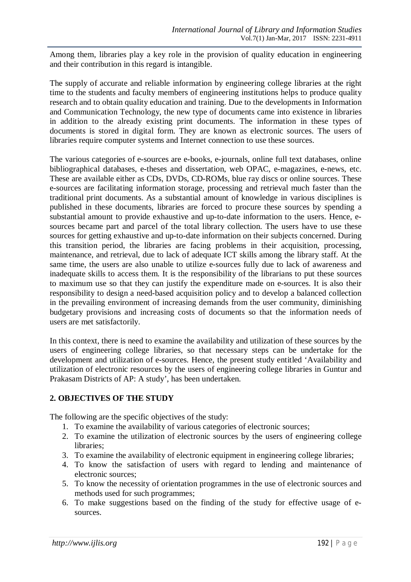Among them, libraries play a key role in the provision of quality education in engineering and their contribution in this regard is intangible.

The supply of accurate and reliable information by engineering college libraries at the right time to the students and faculty members of engineering institutions helps to produce quality research and to obtain quality education and training. Due to the developments in Information and Communication Technology, the new type of documents came into existence in libraries in addition to the already existing print documents. The information in these types of documents is stored in digital form. They are known as electronic sources. The users of libraries require computer systems and Internet connection to use these sources.

The various categories of e-sources are e-books, e-journals, online full text databases, online bibliographical databases, e-theses and dissertation, web OPAC, e-magazines, e-news, etc. These are available either as CDs, DVDs, CD-ROMs, blue ray discs or online sources. These e-sources are facilitating information storage, processing and retrieval much faster than the traditional print documents. As a substantial amount of knowledge in various disciplines is published in these documents, libraries are forced to procure these sources by spending a substantial amount to provide exhaustive and up-to-date information to the users. Hence, esources became part and parcel of the total library collection. The users have to use these sources for getting exhaustive and up-to-date information on their subjects concerned. During this transition period, the libraries are facing problems in their acquisition, processing, maintenance, and retrieval, due to lack of adequate ICT skills among the library staff. At the same time, the users are also unable to utilize e-sources fully due to lack of awareness and inadequate skills to access them. It is the responsibility of the librarians to put these sources to maximum use so that they can justify the expenditure made on e-sources. It is also their responsibility to design a need-based acquisition policy and to develop a balanced collection in the prevailing environment of increasing demands from the user community, diminishing budgetary provisions and increasing costs of documents so that the information needs of users are met satisfactorily.

In this context, there is need to examine the availability and utilization of these sources by the users of engineering college libraries, so that necessary steps can be undertake for the development and utilization of e-sources. Hence, the present study entitled 'Availability and utilization of electronic resources by the users of engineering college libraries in Guntur and Prakasam Districts of AP: A study', has been undertaken.

# **2. OBJECTIVES OF THE STUDY**

The following are the specific objectives of the study:

- 1. To examine the availability of various categories of electronic sources;
- 2. To examine the utilization of electronic sources by the users of engineering college libraries;
- 3. To examine the availability of electronic equipment in engineering college libraries;
- 4. To know the satisfaction of users with regard to lending and maintenance of electronic sources;
- 5. To know the necessity of orientation programmes in the use of electronic sources and methods used for such programmes;
- 6. To make suggestions based on the finding of the study for effective usage of esources.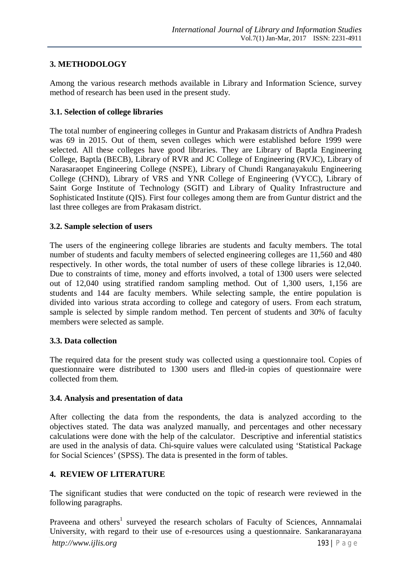## **3. METHODOLOGY**

Among the various research methods available in Library and Information Science, survey method of research has been used in the present study.

## **3.1. Selection of college libraries**

The total number of engineering colleges in Guntur and Prakasam districts of Andhra Pradesh was 69 in 2015. Out of them, seven colleges which were established before 1999 were selected. All these colleges have good libraries. They are Library of Baptla Engineering College, Baptla (BECB), Library of RVR and JC College of Engineering (RVJC), Library of Narasaraopet Engineering College (NSPE), Library of Chundi Ranganayakulu Engineering College (CHND), Library of VRS and YNR College of Engineering (VYCC), Library of Saint Gorge Institute of Technology (SGIT) and Library of Quality Infrastructure and Sophisticated Institute (QIS). First four colleges among them are from Guntur district and the last three colleges are from Prakasam district.

#### **3.2. Sample selection of users**

The users of the engineering college libraries are students and faculty members. The total number of students and faculty members of selected engineering colleges are 11,560 and 480 respectively. In other words, the total number of users of these college libraries is 12,040. Due to constraints of time, money and efforts involved, a total of 1300 users were selected out of 12,040 using stratified random sampling method. Out of 1,300 users, 1,156 are students and 144 are faculty members. While selecting sample, the entire population is divided into various strata according to college and category of users. From each stratum, sample is selected by simple random method. Ten percent of students and 30% of faculty members were selected as sample.

#### **3.3. Data collection**

The required data for the present study was collected using a questionnaire tool. Copies of questionnaire were distributed to 1300 users and flled-in copies of questionnaire were collected from them.

## **3.4. Analysis and presentation of data**

After collecting the data from the respondents, the data is analyzed according to the objectives stated. The data was analyzed manually, and percentages and other necessary calculations were done with the help of the calculator. Descriptive and inferential statistics are used in the analysis of data. Chi-squire values were calculated using 'Statistical Package for Social Sciences' (SPSS). The data is presented in the form of tables.

## **4. REVIEW OF LITERATURE**

The significant studies that were conducted on the topic of research were reviewed in the following paragraphs.

*http://www.ijlis.org* 193 | P a g e Praveena and others<sup>1</sup> surveyed the research scholars of Faculty of Sciences, Annnamalai University, with regard to their use of e-resources using a questionnaire. Sankaranarayana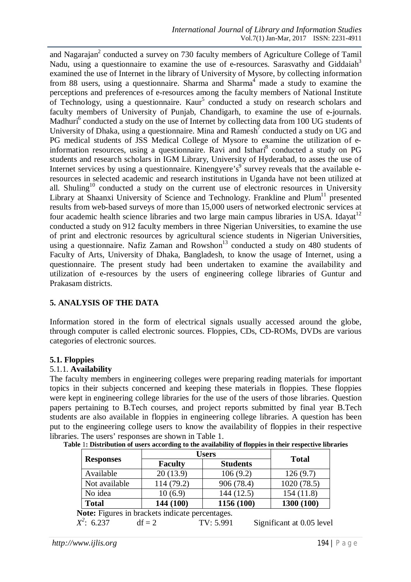and Nagarajan<sup>2</sup> conducted a survey on 730 faculty members of Agriculture College of Tamil Nadu, using a questionnaire to examine the use of e-resources. Sarasvathy and Giddaiah<sup>3</sup> examined the use of Internet in the library of University of Mysore, by collecting information from 88 users, using a questionnaire. Sharma and  $Sharma<sup>4</sup>$  made a study to examine the perceptions and preferences of e-resources among the faculty members of National Institute of Technology, using a questionnaire. Kaur<sup>5</sup> conducted a study on research scholars and faculty members of University of Punjab, Chandigarh, to examine the use of e-journals. Madhuri<sup>6</sup> conducted a study on the use of Internet by collecting data from 100 UG students of University of Dhaka, using a questionnaire. Mina and Ramesh<sup>7</sup> conducted a study on UG and PG medical students of JSS Medical College of Mysore to examine the utilization of einformation resources, using a questionnaire. Ravi and Isthari<sup>8</sup> conducted a study on PG students and research scholars in IGM Library, University of Hyderabad, to asses the use of Internet services by using a questionnaire. Kinengyere's<sup>9</sup> survey reveals that the available eresources in selected academic and research institutions in Uganda have not been utilized at all. Shuling<sup>10</sup> conducted a study on the current use of electronic resources in University Library at Shaanxi University of Science and Technology. Frankline and  $Plum<sup>11</sup>$  presented results from web-based surveys of more than 15,000 users of networked electronic services at four academic health science libraries and two large main campus libraries in USA. Idayat<sup>12</sup> conducted a study on 912 faculty members in three Nigerian Universities, to examine the use of print and electronic resources by agricultural science students in Nigerian Universities, using a questionnaire. Nafiz Zaman and Rowshon $^{13}$  conducted a study on 480 students of Faculty of Arts, University of Dhaka, Bangladesh, to know the usage of Internet, using a questionnaire. The present study had been undertaken to examine the availability and utilization of e-resources by the users of engineering college libraries of Guntur and Prakasam districts.

## **5. ANALYSIS OF THE DATA**

Information stored in the form of electrical signals usually accessed around the globe, through computer is called electronic sources. Floppies, CDs, CD-ROMs, DVDs are various categories of electronic sources.

## **5.1. Floppies**

#### 5.1.1. **Availability**

The faculty members in engineering colleges were preparing reading materials for important topics in their subjects concerned and keeping these materials in floppies. These floppies were kept in engineering college libraries for the use of the users of those libraries. Question papers pertaining to B.Tech courses, and project reports submitted by final year B.Tech students are also available in floppies in engineering college libraries. A question has been put to the engineering college users to know the availability of floppies in their respective libraries. The users' responses are shown in Table 1.

|                  | <b>Users</b>   |                 |              |
|------------------|----------------|-----------------|--------------|
| <b>Responses</b> | <b>Faculty</b> | <b>Students</b> | <b>Total</b> |
| Available        | 20(13.9)       | 106(9.2)        | 126(9.7)     |
| Not available    | 114 (79.2)     | 906 (78.4)      | 1020 (78.5)  |
| No idea          | 10(6.9)        | 144(12.5)       | 154(11.8)    |
| <b>Total</b>     | 144 (100)      | 1156 (100)      | 1300 (100)   |

**Table** 1**: Distribution of users according to the availability of floppies in their respective libraries**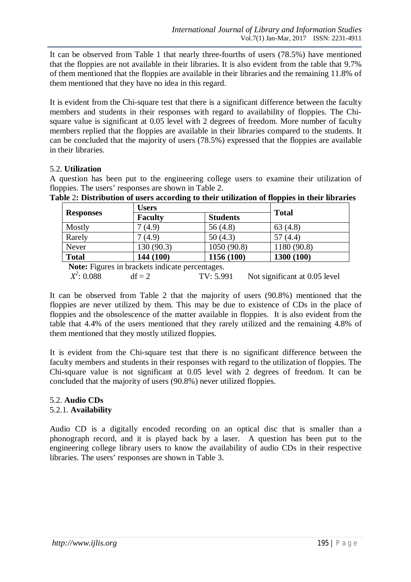It can be observed from Table 1 that nearly three-fourths of users (78.5%) have mentioned that the floppies are not available in their libraries. It is also evident from the table that 9.7% of them mentioned that the floppies are available in their libraries and the remaining 11.8% of them mentioned that they have no idea in this regard.

It is evident from the Chi-square test that there is a significant difference between the faculty members and students in their responses with regard to availability of floppies. The Chisquare value is significant at 0.05 level with 2 degrees of freedom. More number of faculty members replied that the floppies are available in their libraries compared to the students. It can be concluded that the majority of users (78.5%) expressed that the floppies are available in their libraries.

# 5.2. **Utilization**

A question has been put to the engineering college users to examine their utilization of floppies. The users' responses are shown in Table 2.

|                  | <b>Users</b>                                    |                 |             |  |
|------------------|-------------------------------------------------|-----------------|-------------|--|
| <b>Responses</b> | <b>Faculty</b>                                  | <b>Students</b> |             |  |
| Mostly           | (4.9)                                           | 56 $(4.8)$      | 63(4.8)     |  |
| Rarely           | (4.9)                                           | 50(4.3)         | 57(4.4)     |  |
| Never            | 130 (90.3)                                      | 1050(90.8)      | 1180 (90.8) |  |
| <b>Total</b>     | 144 (100)                                       | 1156 (100)      | 1300 (100)  |  |
|                  | Note: Figures in brackets indicate percentages. |                 |             |  |

**Table** 2**: Distribution of users according to their utilization of floppies in their libraries**

 $X^2$  $df = 2$  TV: 5.991 Not significant at 0.05 level

It can be observed from Table 2 that the majority of users (90.8%) mentioned that the floppies are never utilized by them. This may be due to existence of CDs in the place of floppies and the obsolescence of the matter available in floppies. It is also evident from the table that 4.4% of the users mentioned that they rarely utilized and the remaining 4.8% of them mentioned that they mostly utilized floppies.

It is evident from the Chi-square test that there is no significant difference between the faculty members and students in their responses with regard to the utilization of floppies. The Chi-square value is not significant at 0.05 level with 2 degrees of freedom. It can be concluded that the majority of users (90.8%) never utilized floppies.

# 5.2. **Audio CDs**

5.2.1. **Availability** 

Audio CD is a digitally encoded recording on an optical disc that is smaller than a phonograph record, and it is played back by a laser. A question has been put to the engineering college library users to know the availability of audio CDs in their respective libraries. The users' responses are shown in Table 3.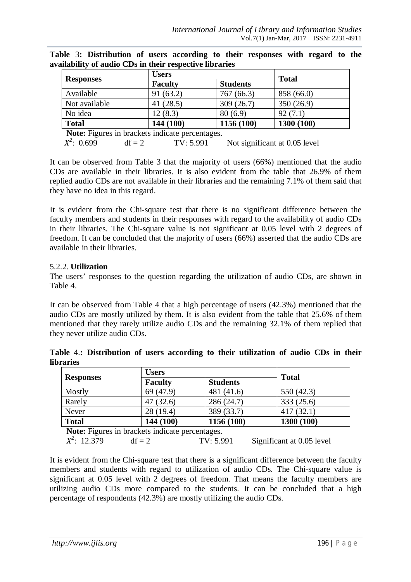|                  | <b>Users</b>   |                 |              |  |  |
|------------------|----------------|-----------------|--------------|--|--|
| <b>Responses</b> | <b>Faculty</b> | <b>Students</b> | <b>Total</b> |  |  |
| Available        | 91(63.2)       | 767(66.3)       | 858 (66.0)   |  |  |
| Not available    | 41 $(28.5)$    | 309(26.7)       | 350(26.9)    |  |  |
| No idea          | 12(8.3)        | 80(6.9)         | 92(7.1)      |  |  |
| <b>Total</b>     | 144 (100)      | 1156 (100)      | 1300 (100)   |  |  |
|                  |                |                 |              |  |  |

**Table** 3**: Distribution of users according to their responses with regard to the availability of audio CDs in their respective libraries**

 **Note:** Figures in brackets indicate percentages.  $X^2$ 

 $df = 2$  TV: 5.991 Not significant at 0.05 level

It can be observed from Table 3 that the majority of users (66%) mentioned that the audio CDs are available in their libraries. It is also evident from the table that 26.9% of them replied audio CDs are not available in their libraries and the remaining 7.1% of them said that they have no idea in this regard.

It is evident from the Chi-square test that there is no significant difference between the faculty members and students in their responses with regard to the availability of audio CDs in their libraries. The Chi-square value is not significant at 0.05 level with 2 degrees of freedom. It can be concluded that the majority of users (66%) asserted that the audio CDs are available in their libraries.

# 5.2.2. **Utilization**

The users' responses to the question regarding the utilization of audio CDs, are shown in Table 4.

It can be observed from Table 4 that a high percentage of users (42.3%) mentioned that the audio CDs are mostly utilized by them. It is also evident from the table that 25.6% of them mentioned that they rarely utilize audio CDs and the remaining 32.1% of them replied that they never utilize audio CDs.

**Table** 4.**: Distribution of users according to their utilization of audio CDs in their libraries**

|                |                 | <b>Total</b>                                    |  |  |
|----------------|-----------------|-------------------------------------------------|--|--|
| <b>Faculty</b> | <b>Students</b> |                                                 |  |  |
| 69 (47.9)      | 481 (41.6)      | 550(42.3)                                       |  |  |
| 47(32.6)       | 286(24.7)       | 333 (25.6)                                      |  |  |
| 28 (19.4)      | 389 (33.7)      | 417(32.1)                                       |  |  |
| 144 (100)      | 1156 (100)      | 1300 (100)                                      |  |  |
|                |                 | Note: Figures in brackets indicate percentages. |  |  |

 $X^2$  $df = 2$  TV: 5.991 Significant at 0.05 level

It is evident from the Chi-square test that there is a significant difference between the faculty members and students with regard to utilization of audio CDs. The Chi-square value is significant at 0.05 level with 2 degrees of freedom. That means the faculty members are utilizing audio CDs more compared to the students. It can be concluded that a high percentage of respondents (42.3%) are mostly utilizing the audio CDs.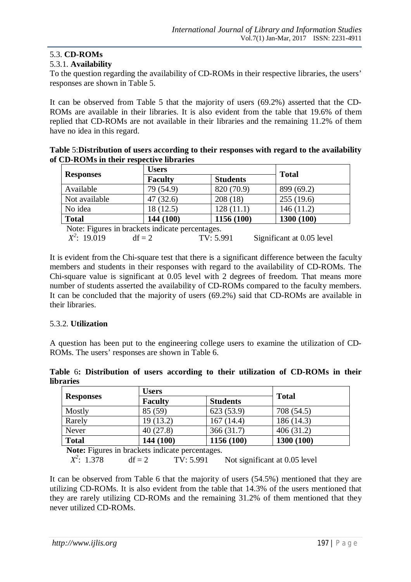# 5.3. **CD-ROMs**

## 5.3.1. **Availability**

To the question regarding the availability of CD-ROMs in their respective libraries, the users' responses are shown in Table 5.

It can be observed from Table 5 that the majority of users (69.2%) asserted that the CD-ROMs are available in their libraries. It is also evident from the table that 19.6% of them replied that CD-ROMs are not available in their libraries and the remaining 11.2% of them have no idea in this regard.

| Table 5: Distribution of users according to their responses with regard to the availability |  |
|---------------------------------------------------------------------------------------------|--|
| of CD-ROMs in their respective libraries                                                    |  |

|                  | <b>Users</b>                                    |                 | <b>Total</b>              |
|------------------|-------------------------------------------------|-----------------|---------------------------|
| <b>Responses</b> | <b>Faculty</b>                                  | <b>Students</b> |                           |
| Available        | 79 (54.9)                                       | 820 (70.9)      | 899 (69.2)                |
| Not available    | 47(32.6)                                        | 208(18)         | 255(19.6)                 |
| No idea          | 18(12.5)                                        | 128(11.1)       | 146(11.2)                 |
| <b>Total</b>     | 144 (100)                                       | 1156 (100)      | 1300 (100)                |
|                  | Note: Figures in brackets indicate percentages. |                 |                           |
| $X^2$ : 19.019   | $df = 2$                                        | TV: 5.991       | Significant at 0.05 level |

It is evident from the Chi-square test that there is a significant difference between the faculty members and students in their responses with regard to the availability of CD-ROMs. The Chi-square value is significant at 0.05 level with 2 degrees of freedom. That means more number of students asserted the availability of CD-ROMs compared to the faculty members. It can be concluded that the majority of users (69.2%) said that CD-ROMs are available in their libraries.

## 5.3.2. **Utilization**

A question has been put to the engineering college users to examine the utilization of CD-ROMs. The users' responses are shown in Table 6.

**Table** 6**: Distribution of users according to their utilization of CD-ROMs in their libraries**

|                  | <b>Users</b>   |                 | <b>Total</b> |  |
|------------------|----------------|-----------------|--------------|--|
| <b>Responses</b> | <b>Faculty</b> | <b>Students</b> |              |  |
| Mostly           | 85 (59)        | 623 (53.9)      | 708 (54.5)   |  |
| Rarely           | 19(13.2)       | 167(14.4)       | 186(14.3)    |  |
| Never            | 40(27.8)       | 366(31.7)       | 406(31.2)    |  |
| <b>Total</b>     | 144 (100)      | 1156 (100)      | 1300 (100)   |  |

 **Note:** Figures in brackets indicate percentages.  $X^2$ 

 $df = 2$  TV: 5.991 Not significant at 0.05 level

It can be observed from Table 6 that the majority of users (54.5%) mentioned that they are utilizing CD-ROMs. It is also evident from the table that 14.3% of the users mentioned that they are rarely utilizing CD-ROMs and the remaining 31.2% of them mentioned that they never utilized CD-ROMs.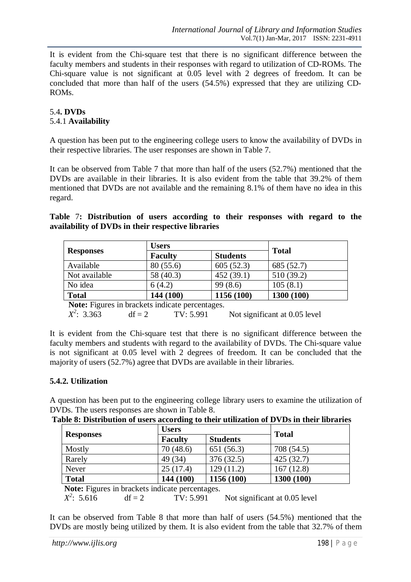It is evident from the Chi-square test that there is no significant difference between the faculty members and students in their responses with regard to utilization of CD-ROMs. The Chi-square value is not significant at 0.05 level with 2 degrees of freedom. It can be concluded that more than half of the users (54.5%) expressed that they are utilizing CD-ROMs.

#### 5.4**. DVDs** 5.4.1 **Availability**

A question has been put to the engineering college users to know the availability of DVDs in their respective libraries. The user responses are shown in Table 7.

It can be observed from Table 7 that more than half of the users (52.7%) mentioned that the DVDs are available in their libraries. It is also evident from the table that 39.2% of them mentioned that DVDs are not available and the remaining 8.1% of them have no idea in this regard.

## **Table** 7**: Distribution of users according to their responses with regard to the availability of DVDs in their respective libraries**

|                  | <b>Users</b>   | <b>Total</b>    |            |  |
|------------------|----------------|-----------------|------------|--|
| <b>Responses</b> | <b>Faculty</b> | <b>Students</b> |            |  |
| Available        | 80(55.6)       | 605(52.3)       | 685 (52.7) |  |
| Not available    | 58 (40.3)      | 452(39.1)       | 510 (39.2) |  |
| No idea          | 6(4.2)         | 99(8.6)         | 105(8.1)   |  |
| <b>Total</b>     | 144 (100)      | 1156 (100)      | 1300 (100) |  |

 **Note:** Figures in brackets indicate percentages.

 $X^2$  $df = 2$  TV: 5.991 Not significant at 0.05 level

It is evident from the Chi-square test that there is no significant difference between the faculty members and students with regard to the availability of DVDs. The Chi-square value is not significant at 0.05 level with 2 degrees of freedom. It can be concluded that the majority of users (52.7%) agree that DVDs are available in their libraries.

# **5.4.2. Utilization**

A question has been put to the engineering college library users to examine the utilization of DVDs. The users responses are shown in Table 8.

| Table 8: Distribution of users according to their utilization of DVDs in their libraries |
|------------------------------------------------------------------------------------------|
|------------------------------------------------------------------------------------------|

|                  | <b>Users</b>   | <b>Total</b>    |            |  |
|------------------|----------------|-----------------|------------|--|
| <b>Responses</b> | <b>Faculty</b> | <b>Students</b> |            |  |
| Mostly           | 70 (48.6)      | 651 (56.3)      | 708 (54.5) |  |
| Rarely           | 49 (34)        | 376 (32.5)      | 425(32.7)  |  |
| <b>Never</b>     | 25(17.4)       | 129(11.2)       | 167(12.8)  |  |
| <b>Total</b>     | 144 (100)      | 1156 (100)      | 1300 (100) |  |

 **Note:** Figures in brackets indicate percentages.  $X^2$ 

 $df = 2$  TV: 5.991 Not significant at 0.05 level

It can be observed from Table 8 that more than half of users (54.5%) mentioned that the DVDs are mostly being utilized by them. It is also evident from the table that 32.7% of them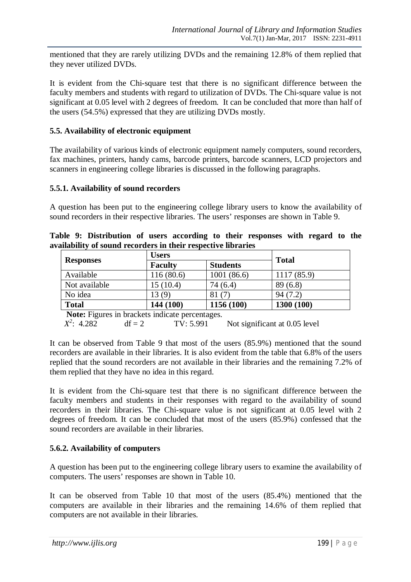mentioned that they are rarely utilizing DVDs and the remaining 12.8% of them replied that they never utilized DVDs.

It is evident from the Chi-square test that there is no significant difference between the faculty members and students with regard to utilization of DVDs. The Chi-square value is not significant at 0.05 level with 2 degrees of freedom. It can be concluded that more than half of the users (54.5%) expressed that they are utilizing DVDs mostly.

#### **5.5. Availability of electronic equipment**

The availability of various kinds of electronic equipment namely computers, sound recorders, fax machines, printers, handy cams, barcode printers, barcode scanners, LCD projectors and scanners in engineering college libraries is discussed in the following paragraphs.

#### **5.5.1. Availability of sound recorders**

A question has been put to the engineering college library users to know the availability of sound recorders in their respective libraries. The users' responses are shown in Table 9.

|  | Table 9: Distribution of users according to their responses with regard to the |  |  |  |  |  |
|--|--------------------------------------------------------------------------------|--|--|--|--|--|
|  | availability of sound recorders in their respective libraries                  |  |  |  |  |  |

|                  | <b>Users</b>                      |             |              |  |  |  |
|------------------|-----------------------------------|-------------|--------------|--|--|--|
| <b>Responses</b> | <b>Faculty</b><br><b>Students</b> |             | <b>Total</b> |  |  |  |
| Available        | 116(80.6)                         | 1001 (86.6) | 1117 (85.9)  |  |  |  |
| Not available    | 15(10.4)                          | 74 (6.4)    | 89(6.8)      |  |  |  |
| No idea          | 13(9)                             | 81 (7)      | 94(7.2)      |  |  |  |
| <b>Total</b>     | 144 (100)                         | 1156 (100)  | 1300(100)    |  |  |  |

 $X^2$  $df = 2$  TV: 5.991 Not significant at 0.05 level

It can be observed from Table 9 that most of the users (85.9%) mentioned that the sound recorders are available in their libraries. It is also evident from the table that 6.8% of the users replied that the sound recorders are not available in their libraries and the remaining 7.2% of them replied that they have no idea in this regard.

It is evident from the Chi-square test that there is no significant difference between the faculty members and students in their responses with regard to the availability of sound recorders in their libraries. The Chi-square value is not significant at 0.05 level with 2 degrees of freedom. It can be concluded that most of the users (85.9%) confessed that the sound recorders are available in their libraries.

## **5.6.2. Availability of computers**

A question has been put to the engineering college library users to examine the availability of computers. The users' responses are shown in Table 10.

It can be observed from Table 10 that most of the users (85.4%) mentioned that the computers are available in their libraries and the remaining 14.6% of them replied that computers are not available in their libraries.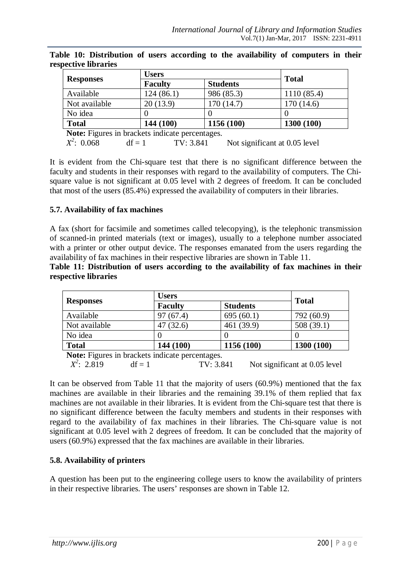|                  | <b>Users</b>   |                 | <b>Total</b> |
|------------------|----------------|-----------------|--------------|
| <b>Responses</b> | <b>Faculty</b> | <b>Students</b> |              |
| Available        | 124(86.1)      | 986 (85.3)      | 1110(85.4)   |
| Not available    | 20(13.9)       | 170 (14.7)      | 170 (14.6)   |
| No idea          |                |                 |              |
| <b>Total</b>     | 144 (100)      | 1156(100)       | 1300 (100)   |

**Table 10: Distribution of users according to the availability of computers in their respective libraries**

 **Note:** Figures in brackets indicate percentages.  $X^2$ 

 $df = 1$  TV: 3.841 Not significant at 0.05 level

It is evident from the Chi-square test that there is no significant difference between the faculty and students in their responses with regard to the availability of computers. The Chisquare value is not significant at 0.05 level with 2 degrees of freedom. It can be concluded that most of the users (85.4%) expressed the availability of computers in their libraries.

## **5.7. Availability of fax machines**

A fax (short for facsimile and sometimes called telecopying), is the telephonic transmission of scanned-in printed materials (text or images), usually to a telephone number associated with a printer or other output device. The responses emanated from the users regarding the availability of fax machines in their respective libraries are shown in Table 11.

#### **Table 11: Distribution of users according to the availability of fax machines in their respective libraries**

|                                                        | <b>Users</b>   |                 | <b>Total</b> |
|--------------------------------------------------------|----------------|-----------------|--------------|
| <b>Responses</b>                                       | <b>Faculty</b> | <b>Students</b> |              |
| Available                                              | 97(67.4)       | 695(60.1)       | 792 (60.9)   |
| Not available                                          | 47(32.6)       | 461 (39.9)      | 508(39.1)    |
| No idea                                                |                |                 |              |
| <b>Total</b>                                           | 144 (100)      | 1156 (100)      | 1300 (100)   |
| <b>Note:</b> Figures in brackets indicate percentages. |                |                 |              |

n brackets indicate percentages.  $X^2$ : 2.819 df = 1 TV: 3.841 Not significant at 0.05 level

It can be observed from Table 11 that the majority of users (60.9%) mentioned that the fax machines are available in their libraries and the remaining 39.1% of them replied that fax machines are not available in their libraries. It is evident from the Chi-square test that there is no significant difference between the faculty members and students in their responses with regard to the availability of fax machines in their libraries. The Chi-square value is not significant at 0.05 level with 2 degrees of freedom. It can be concluded that the majority of users (60.9%) expressed that the fax machines are available in their libraries.

# **5.8. Availability of printers**

A question has been put to the engineering college users to know the availability of printers in their respective libraries. The users' responses are shown in Table 12.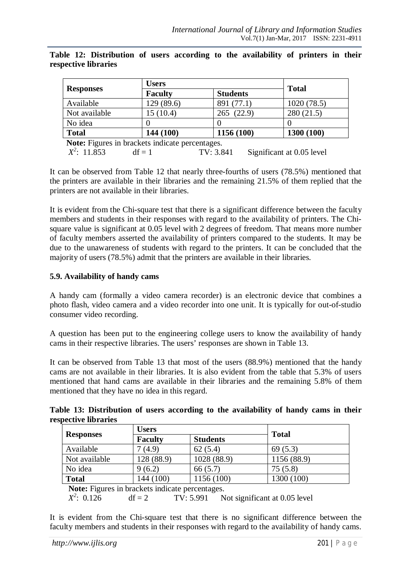|                  | <b>Users</b>                                           |                 | <b>Total</b>              |
|------------------|--------------------------------------------------------|-----------------|---------------------------|
| <b>Responses</b> | <b>Faculty</b>                                         | <b>Students</b> |                           |
| Available        | 129 (89.6)                                             | 891 (77.1)      | 1020(78.5)                |
| Not available    | 15(10.4)                                               | 265 (22.9)      | 280(21.5)                 |
| No idea          |                                                        |                 |                           |
| <b>Total</b>     | 144 (100)                                              | 1156 (100)      | 1300 (100)                |
|                  | <b>Note:</b> Figures in brackets indicate percentages. |                 |                           |
| $X^2$ : 11.853   | $df = 1$                                               | TV: 3.841       | Significant at 0.05 level |

|  | Table 12: Distribution of users according to the availability of printers in their |  |  |  |  |  |
|--|------------------------------------------------------------------------------------|--|--|--|--|--|
|  | respective libraries                                                               |  |  |  |  |  |

It can be observed from Table 12 that nearly three-fourths of users (78.5%) mentioned that the printers are available in their libraries and the remaining 21.5% of them replied that the printers are not available in their libraries.

It is evident from the Chi-square test that there is a significant difference between the faculty members and students in their responses with regard to the availability of printers. The Chisquare value is significant at 0.05 level with 2 degrees of freedom. That means more number of faculty members asserted the availability of printers compared to the students. It may be due to the unawareness of students with regard to the printers. It can be concluded that the majority of users (78.5%) admit that the printers are available in their libraries.

## **5.9. Availability of handy cams**

A handy cam (formally a video camera recorder) is an electronic device that combines a photo flash, video camera and a video recorder into one unit. It is typically for out-of-studio consumer video recording.

A question has been put to the engineering college users to know the availability of handy cams in their respective libraries. The users' responses are shown in Table 13.

It can be observed from Table 13 that most of the users (88.9%) mentioned that the handy cams are not available in their libraries. It is also evident from the table that 5.3% of users mentioned that hand cams are available in their libraries and the remaining 5.8% of them mentioned that they have no idea in this regard.

|  | Table 13: Distribution of users according to the availability of handy cams in their |  |  |  |  |
|--|--------------------------------------------------------------------------------------|--|--|--|--|
|  | respective libraries                                                                 |  |  |  |  |
|  |                                                                                      |  |  |  |  |

|                                            | <b>Users</b>   |                 | <b>Total</b> |  |
|--------------------------------------------|----------------|-----------------|--------------|--|
| <b>Responses</b>                           | <b>Faculty</b> | <b>Students</b> |              |  |
| Available                                  | (4.9)          | 62(5.4)         | 69(5.3)      |  |
| Not available                              | 128 (88.9)     | 1028 (88.9)     | 1156 (88.9)  |  |
| No idea                                    | 9(6.2)         | 66(5.7)         | 75(5.8)      |  |
| <b>Total</b>                               | 144 (100)      | 1156 (100)      | 1300 (100)   |  |
| $\blacksquare$<br>$\overline{\phantom{a}}$ |                |                 |              |  |

 **Note:** Figures in brackets indicate percentages.

 $X^2$  $df = 2$  TV: 5.991 Not significant at 0.05 level

It is evident from the Chi-square test that there is no significant difference between the faculty members and students in their responses with regard to the availability of handy cams.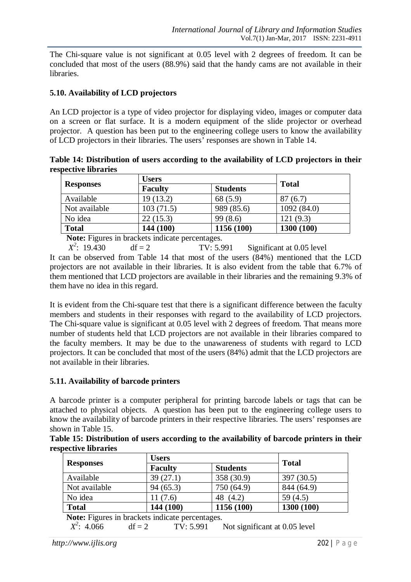The Chi-square value is not significant at 0.05 level with 2 degrees of freedom. It can be concluded that most of the users (88.9%) said that the handy cams are not available in their libraries.

## **5.10. Availability of LCD projectors**

An LCD projector is a type of video projector for displaying video, images or computer data on a screen or flat surface. It is a modern equipment of the slide projector or overhead projector. A question has been put to the engineering college users to know the availability of LCD projectors in their libraries. The users' responses are shown in Table 14.

**Table 14: Distribution of users according to the availability of LCD projectors in their respective libraries**

|                  | <b>Users</b>   |                 | <b>Total</b> |
|------------------|----------------|-----------------|--------------|
| <b>Responses</b> | <b>Faculty</b> | <b>Students</b> |              |
| Available        | 19 (13.2)      | 68 (5.9)        | 87(6.7)      |
| Not available    | 103(71.5)      | 989 (85.6)      | 1092(84.0)   |
| No idea          | 22(15.3)       | 99(8.6)         | 121(9.3)     |
| <b>Total</b>     | 144 (100)      | 1156 (100)      | 1300(100)    |

 **Note:** Figures in brackets indicate percentages.

 $X^2$  $df = 2$  TV: 5.991 Significant at 0.05 level It can be observed from Table 14 that most of the users (84%) mentioned that the LCD projectors are not available in their libraries. It is also evident from the table that 6.7% of them mentioned that LCD projectors are available in their libraries and the remaining 9.3% of them have no idea in this regard.

It is evident from the Chi-square test that there is a significant difference between the faculty members and students in their responses with regard to the availability of LCD projectors. The Chi-square value is significant at 0.05 level with 2 degrees of freedom. That means more number of students held that LCD projectors are not available in their libraries compared to the faculty members. It may be due to the unawareness of students with regard to LCD projectors. It can be concluded that most of the users (84%) admit that the LCD projectors are not available in their libraries.

## **5.11. Availability of barcode printers**

A barcode printer is a computer peripheral for printing barcode labels or tags that can be attached to physical objects. A question has been put to the engineering college users to know the availability of barcode printers in their respective libraries. The users' responses are shown in Table 15.

**Table 15: Distribution of users according to the availability of barcode printers in their respective libraries**

|                                                       | <b>Users</b> |            |              |  |
|-------------------------------------------------------|--------------|------------|--------------|--|
| <b>Responses</b><br><b>Faculty</b><br><b>Students</b> |              |            | <b>Total</b> |  |
| Available                                             | 39(27.1)     | 358 (30.9) | 397 (30.5)   |  |
| Not available                                         | 94(65.3)     | 750 (64.9) | 844 (64.9)   |  |
| No idea                                               | 11(7.6)      | 48 (4.2)   | 59 $(4.5)$   |  |
| <b>Total</b>                                          | 144 (100)    | 1156 (100) | 1300 (100)   |  |

 $X^2$  $df = 2$  TV: 5.991 Not significant at 0.05 level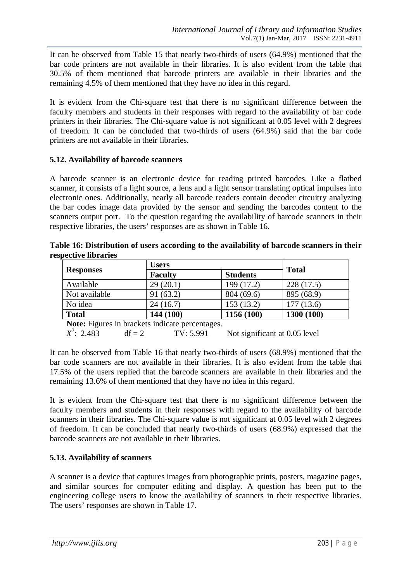It can be observed from Table 15 that nearly two-thirds of users (64.9%) mentioned that the bar code printers are not available in their libraries. It is also evident from the table that 30.5% of them mentioned that barcode printers are available in their libraries and the remaining 4.5% of them mentioned that they have no idea in this regard.

It is evident from the Chi-square test that there is no significant difference between the faculty members and students in their responses with regard to the availability of bar code printers in their libraries. The Chi-square value is not significant at 0.05 level with 2 degrees of freedom. It can be concluded that two-thirds of users (64.9%) said that the bar code printers are not available in their libraries.

#### **5.12. Availability of barcode scanners**

A barcode scanner is an electronic device for reading printed barcodes. Like a flatbed scanner, it consists of a light source, a lens and a light sensor translating optical impulses into electronic ones. Additionally, nearly all barcode readers contain decoder circuitry analyzing the bar codes image data provided by the sensor and sending the barcodes content to the scanners output port. To the question regarding the availability of barcode scanners in their respective libraries, the users' responses are as shown in Table 16.

**Table 16: Distribution of users according to the availability of barcode scanners in their respective libraries**

|                  | <b>Users</b>                                           |                 |              |  |
|------------------|--------------------------------------------------------|-----------------|--------------|--|
| <b>Responses</b> | <b>Faculty</b>                                         | <b>Students</b> | <b>Total</b> |  |
| Available        | 29(20.1)                                               | 199 (17.2)      | 228(17.5)    |  |
| Not available    | 91(63.2)                                               | 804 (69.6)      | 895 (68.9)   |  |
| No idea          | 24(16.7)                                               | 153(13.2)       | 177(13.6)    |  |
| <b>Total</b>     | 144 (100)                                              | 1156 (100)      | 1300 (100)   |  |
|                  | <b>Note:</b> Figures in brackets indicate percentages. |                 |              |  |

 $X^2$  $TV: 5.991$  Not significant at 0.05 level It can be observed from Table 16 that nearly two-thirds of users (68.9%) mentioned that the

bar code scanners are not available in their libraries. It is also evident from the table that 17.5% of the users replied that the barcode scanners are available in their libraries and the remaining 13.6% of them mentioned that they have no idea in this regard.

It is evident from the Chi-square test that there is no significant difference between the faculty members and students in their responses with regard to the availability of barcode scanners in their libraries. The Chi-square value is not significant at 0.05 level with 2 degrees of freedom. It can be concluded that nearly two-thirds of users (68.9%) expressed that the barcode scanners are not available in their libraries.

## **5.13. Availability of scanners**

A scanner is a device that captures images from photographic prints, posters, magazine pages, and similar sources for computer editing and display. A question has been put to the engineering college users to know the availability of scanners in their respective libraries. The users' responses are shown in Table 17.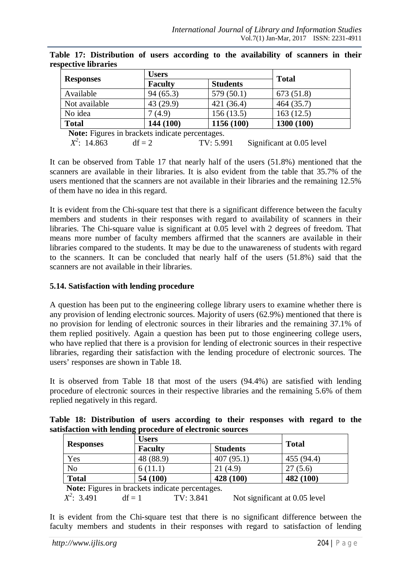| <b>Users</b>   |                 |              |  |
|----------------|-----------------|--------------|--|
| <b>Faculty</b> | <b>Students</b> | <b>Total</b> |  |
| 94(65.3)       | 579(50.1)       | 673 (51.8)   |  |
| 43 (29.9)      | 421(36.4)       | 464(35.7)    |  |
| 7(4.9)         | 156(13.5)       | 163(12.5)    |  |
| 144 (100)      | 1156 (100)      | 1300 (100)   |  |
|                |                 |              |  |

|  | Table 17: Distribution of users according to the availability of scanners in their |  |  |  |  |  |
|--|------------------------------------------------------------------------------------|--|--|--|--|--|
|  | respective libraries                                                               |  |  |  |  |  |

 **Note:** Figures in brackets indicate percentages.  $X^2$ 

 $df = 2$  TV: 5.991 Significant at 0.05 level

It can be observed from Table 17 that nearly half of the users (51.8%) mentioned that the scanners are available in their libraries. It is also evident from the table that 35.7% of the users mentioned that the scanners are not available in their libraries and the remaining 12.5% of them have no idea in this regard.

It is evident from the Chi-square test that there is a significant difference between the faculty members and students in their responses with regard to availability of scanners in their libraries. The Chi-square value is significant at 0.05 level with 2 degrees of freedom. That means more number of faculty members affirmed that the scanners are available in their libraries compared to the students. It may be due to the unawareness of students with regard to the scanners. It can be concluded that nearly half of the users (51.8%) said that the scanners are not available in their libraries.

# **5.14. Satisfaction with lending procedure**

A question has been put to the engineering college library users to examine whether there is any provision of lending electronic sources. Majority of users (62.9%) mentioned that there is no provision for lending of electronic sources in their libraries and the remaining 37.1% of them replied positively. Again a question has been put to those engineering college users, who have replied that there is a provision for lending of electronic sources in their respective libraries, regarding their satisfaction with the lending procedure of electronic sources. The users' responses are shown in Table 18.

It is observed from Table 18 that most of the users (94.4%) are satisfied with lending procedure of electronic sources in their respective libraries and the remaining 5.6% of them replied negatively in this regard.

| <b>Responses</b> | <b>Users</b>   |                 |              |  |  |  |
|------------------|----------------|-----------------|--------------|--|--|--|
|                  | <b>Faculty</b> | <b>Students</b> | <b>Total</b> |  |  |  |
| Yes              | 48 (88.9)      | 407(95.1)       | 455 (94.4)   |  |  |  |
| N <sub>o</sub>   | 6(11.1)        | 21(4.9)         | 27(5.6)      |  |  |  |
| <b>Total</b>     | 54 (100)       | 428 (100)       | 482 (100)    |  |  |  |

**Table 18: Distribution of users according to their responses with regard to the satisfaction with lending procedure of electronic sources**

 **Note:** Figures in brackets indicate percentages.  $X^2$ 

 $df = 1$  TV: 3.841 Not significant at 0.05 level

It is evident from the Chi-square test that there is no significant difference between the faculty members and students in their responses with regard to satisfaction of lending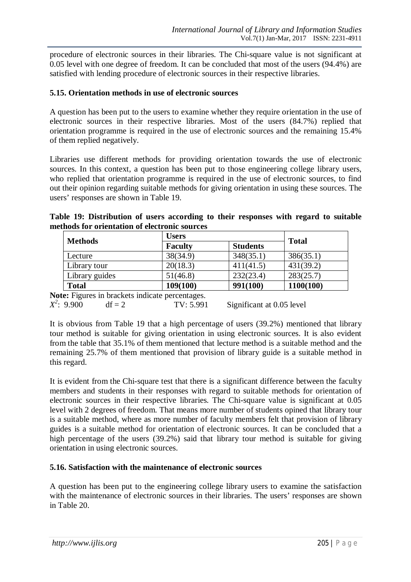procedure of electronic sources in their libraries. The Chi-square value is not significant at 0.05 level with one degree of freedom. It can be concluded that most of the users (94.4%) are satisfied with lending procedure of electronic sources in their respective libraries.

#### **5.15. Orientation methods in use of electronic sources**

A question has been put to the users to examine whether they require orientation in the use of electronic sources in their respective libraries. Most of the users (84.7%) replied that orientation programme is required in the use of electronic sources and the remaining 15.4% of them replied negatively.

Libraries use different methods for providing orientation towards the use of electronic sources. In this context, a question has been put to those engineering college library users, who replied that orientation programme is required in the use of electronic sources, to find out their opinion regarding suitable methods for giving orientation in using these sources. The users' responses are shown in Table 19.

| Table 19: Distribution of users according to their responses with regard to suitable |  |  |  |  |
|--------------------------------------------------------------------------------------|--|--|--|--|
| methods for orientation of electronic sources                                        |  |  |  |  |

| <b>Methods</b> | <b>Users</b>   | <b>Total</b>    |           |  |  |
|----------------|----------------|-----------------|-----------|--|--|
|                | <b>Faculty</b> | <b>Students</b> |           |  |  |
| Lecture        | 38(34.9)       | 348(35.1)       | 386(35.1) |  |  |
| Library tour   | 20(18.3)       | 411(41.5)       | 431(39.2) |  |  |
| Library guides | 51(46.8)       | 232(23.4)       | 283(25.7) |  |  |
| <b>Total</b>   | 109(100)       | 991(100)        | 1100(100) |  |  |

**Note:** Figures in brackets indicate percentages. *X 2*  $df = 2$  TV: 5.991 Significant at 0.05 level

It is obvious from Table 19 that a high percentage of users (39.2%) mentioned that library tour method is suitable for giving orientation in using electronic sources. It is also evident from the table that 35.1% of them mentioned that lecture method is a suitable method and the remaining 25.7% of them mentioned that provision of library guide is a suitable method in this regard.

It is evident from the Chi-square test that there is a significant difference between the faculty members and students in their responses with regard to suitable methods for orientation of electronic sources in their respective libraries. The Chi-square value is significant at 0.05 level with 2 degrees of freedom. That means more number of students opined that library tour is a suitable method, where as more number of faculty members felt that provision of library guides is a suitable method for orientation of electronic sources. It can be concluded that a high percentage of the users (39.2%) said that library tour method is suitable for giving orientation in using electronic sources.

#### **5.16. Satisfaction with the maintenance of electronic sources**

A question has been put to the engineering college library users to examine the satisfaction with the maintenance of electronic sources in their libraries. The users' responses are shown in Table 20.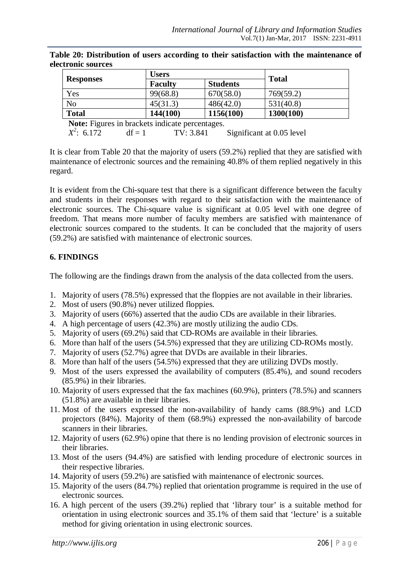|                                                                  | <b>Users</b>   |                 |              |  |  |  |  |
|------------------------------------------------------------------|----------------|-----------------|--------------|--|--|--|--|
| <b>Responses</b>                                                 | <b>Faculty</b> | <b>Students</b> | <b>Total</b> |  |  |  |  |
| Yes                                                              | 99(68.8)       | 670(58.0)       | 769(59.2)    |  |  |  |  |
| N <sub>o</sub>                                                   | 45(31.3)       | 486(42.0)       | 531(40.8)    |  |  |  |  |
| <b>Total</b>                                                     | 144(100)       | 1156(100)       | 1300(100)    |  |  |  |  |
| Note: Figures in brackets indicate percentages.                  |                |                 |              |  |  |  |  |
| $X^2$ : 6.172<br>$df = 1$ TV: 3.841<br>Significant at 0.05 level |                |                 |              |  |  |  |  |

**Table 20: Distribution of users according to their satisfaction with the maintenance of electronic sources**

It is clear from Table 20 that the majority of users (59.2%) replied that they are satisfied with maintenance of electronic sources and the remaining 40.8% of them replied negatively in this regard.

It is evident from the Chi-square test that there is a significant difference between the faculty and students in their responses with regard to their satisfaction with the maintenance of electronic sources. The Chi-square value is significant at 0.05 level with one degree of freedom. That means more number of faculty members are satisfied with maintenance of electronic sources compared to the students. It can be concluded that the majority of users (59.2%) are satisfied with maintenance of electronic sources.

# **6. FINDINGS**

The following are the findings drawn from the analysis of the data collected from the users.

- 1. Majority of users (78.5%) expressed that the floppies are not available in their libraries.
- 2. Most of users (90.8%) never utilized floppies.
- 3. Majority of users (66%) asserted that the audio CDs are available in their libraries.
- 4. A high percentage of users (42.3%) are mostly utilizing the audio CDs.
- 5. Majority of users (69.2%) said that CD-ROMs are available in their libraries.
- 6. More than half of the users (54.5%) expressed that they are utilizing CD-ROMs mostly.
- 7. Majority of users (52.7%) agree that DVDs are available in their libraries.
- 8. More than half of the users (54.5%) expressed that they are utilizing DVDs mostly.
- 9. Most of the users expressed the availability of computers (85.4%), and sound recoders (85.9%) in their libraries.
- 10. Majority of users expressed that the fax machines (60.9%), printers (78.5%) and scanners (51.8%) are available in their libraries.
- 11. Most of the users expressed the non-availability of handy cams (88.9%) and LCD projectors (84%). Majority of them (68.9%) expressed the non-availability of barcode scanners in their libraries.
- 12. Majority of users (62.9%) opine that there is no lending provision of electronic sources in their libraries.
- 13. Most of the users (94.4%) are satisfied with lending procedure of electronic sources in their respective libraries.
- 14. Majority of users (59.2%) are satisfied with maintenance of electronic sources.
- 15. Majority of the users (84.7%) replied that orientation programme is required in the use of electronic sources.
- 16. A high percent of the users (39.2%) replied that 'library tour' is a suitable method for orientation in using electronic sources and 35.1% of them said that 'lecture' is a suitable method for giving orientation in using electronic sources.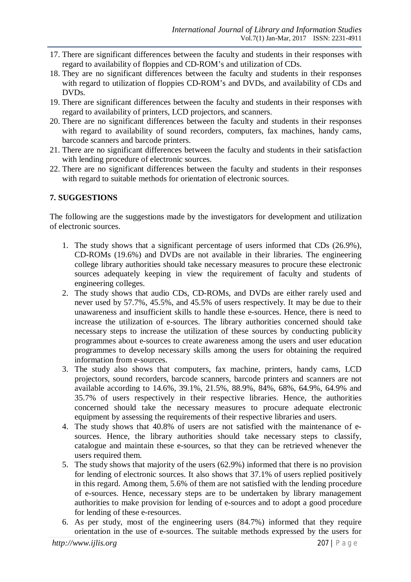- 17. There are significant differences between the faculty and students in their responses with regard to availability of floppies and CD-ROM's and utilization of CDs.
- 18. They are no significant differences between the faculty and students in their responses with regard to utilization of floppies CD-ROM's and DVDs, and availability of CDs and DVDs.
- 19. There are significant differences between the faculty and students in their responses with regard to availability of printers, LCD projectors, and scanners.
- 20. There are no significant differences between the faculty and students in their responses with regard to availability of sound recorders, computers, fax machines, handy cams, barcode scanners and barcode printers.
- 21. There are no significant differences between the faculty and students in their satisfaction with lending procedure of electronic sources.
- 22. There are no significant differences between the faculty and students in their responses with regard to suitable methods for orientation of electronic sources.

# **7. SUGGESTIONS**

The following are the suggestions made by the investigators for development and utilization of electronic sources.

- 1. The study shows that a significant percentage of users informed that CDs (26.9%), CD-ROMs (19.6%) and DVDs are not available in their libraries. The engineering college library authorities should take necessary measures to procure these electronic sources adequately keeping in view the requirement of faculty and students of engineering colleges.
- 2. The study shows that audio CDs, CD-ROMs, and DVDs are either rarely used and never used by 57.7%, 45.5%, and 45.5% of users respectively. It may be due to their unawareness and insufficient skills to handle these e-sources. Hence, there is need to increase the utilization of e-sources. The library authorities concerned should take necessary steps to increase the utilization of these sources by conducting publicity programmes about e-sources to create awareness among the users and user education programmes to develop necessary skills among the users for obtaining the required information from e-sources.
- 3. The study also shows that computers, fax machine, printers, handy cams, LCD projectors, sound recorders, barcode scanners, barcode printers and scanners are not available according to 14.6%, 39.1%, 21.5%, 88.9%, 84%, 68%, 64.9%, 64.9% and 35.7% of users respectively in their respective libraries. Hence, the authorities concerned should take the necessary measures to procure adequate electronic equipment by assessing the requirements of their respective libraries and users.
- 4. The study shows that 40.8% of users are not satisfied with the maintenance of esources. Hence, the library authorities should take necessary steps to classify, catalogue and maintain these e-sources, so that they can be retrieved whenever the users required them.
- 5. The study shows that majority of the users (62.9%) informed that there is no provision for lending of electronic sources. It also shows that 37.1% of users replied positively in this regard. Among them, 5.6% of them are not satisfied with the lending procedure of e-sources. Hence, necessary steps are to be undertaken by library management authorities to make provision for lending of e-sources and to adopt a good procedure for lending of these e-resources.
- 6. As per study, most of the engineering users (84.7%) informed that they require orientation in the use of e-sources. The suitable methods expressed by the users for